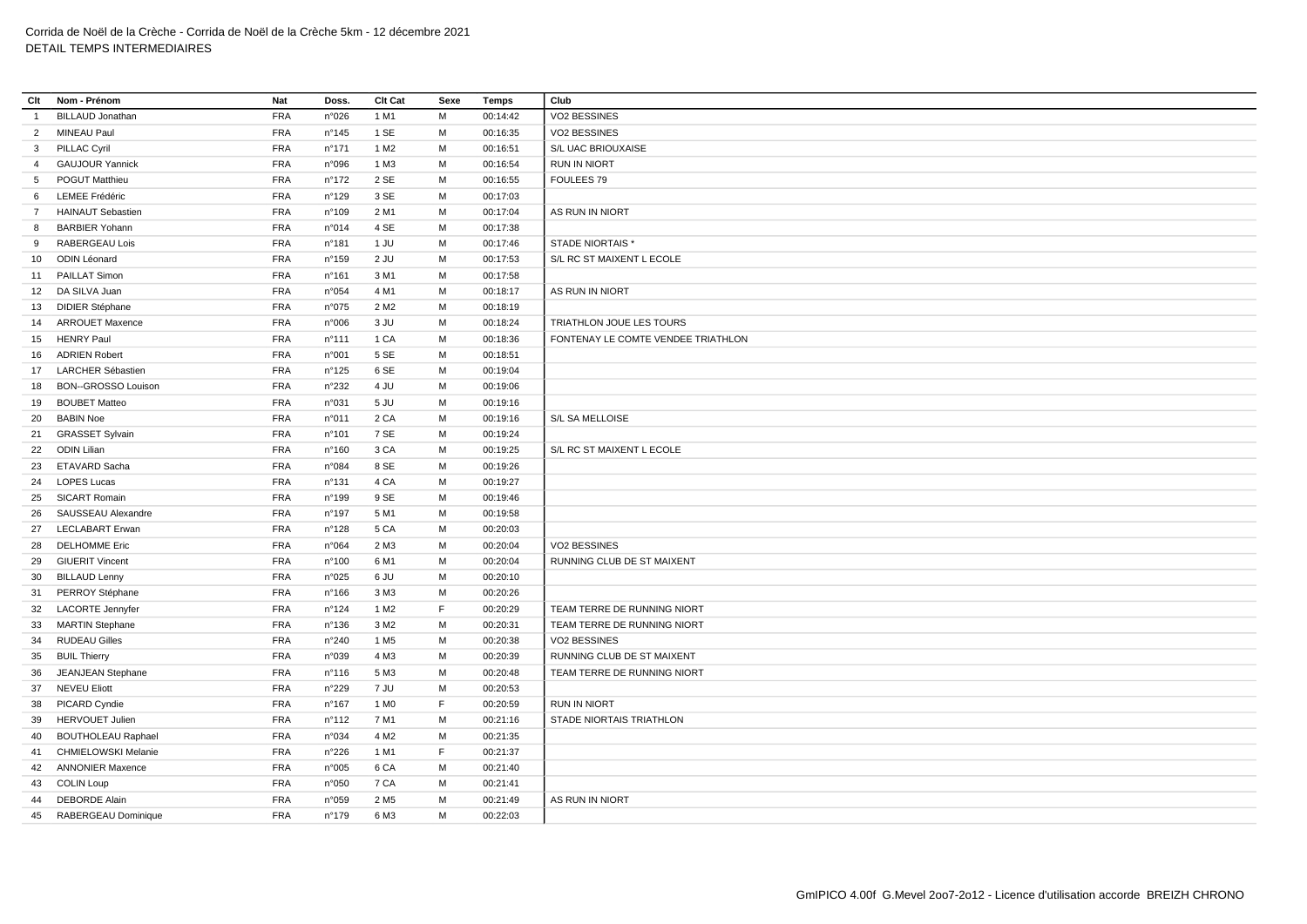| Clt             | Nom - Prénom               | Nat        | Doss.                    | Clt Cat          | Sexe | <b>Temps</b> | Club                               |
|-----------------|----------------------------|------------|--------------------------|------------------|------|--------------|------------------------------------|
| $\overline{1}$  | <b>BILLAUD Jonathan</b>    | <b>FRA</b> | n°026                    | 1 M1             | M    | 00:14:42     | VO2 BESSINES                       |
| $\overline{2}$  | MINEAU Paul                | <b>FRA</b> | $n^{\circ}$ 145          | 1 SE             | M    | 00:16:35     | VO2 BESSINES                       |
| $3^{\circ}$     | <b>PILLAC Cyril</b>        | <b>FRA</b> | $n^{\circ}$ 171          | 1 M <sub>2</sub> | м    | 00:16:51     | S/L UAC BRIOUXAISE                 |
| $\overline{4}$  | <b>GAUJOUR Yannick</b>     | <b>FRA</b> | n°096                    | 1 M3             | M    | 00:16:54     | <b>RUN IN NIORT</b>                |
| $5\overline{5}$ | POGUT Matthieu             | <b>FRA</b> | $n^{\circ}$ 172          | 2 SE             | м    | 00:16:55     | FOULEES 79                         |
| 6               | <b>LEMEE Frédéric</b>      | <b>FRA</b> | n°129                    | 3 SE             | M    | 00:17:03     |                                    |
| $7^{\circ}$     | <b>HAINAUT Sebastien</b>   | <b>FRA</b> | n°109                    | 2 M1             | M    | 00:17:04     | AS RUN IN NIORT                    |
| 8               | <b>BARBIER Yohann</b>      | <b>FRA</b> | n°014                    | 4 SE             | М    | 00:17:38     |                                    |
| 9               | <b>RABERGEAU Lois</b>      | <b>FRA</b> | $n^{\circ}181$           | 1 JU             | M    | 00:17:46     | <b>STADE NIORTAIS*</b>             |
| 10 <sup>°</sup> | ODIN Léonard               | <b>FRA</b> | $n^{\circ}$ 159          | 2 JU             | M    | 00:17:53     | S/L RC ST MAIXENT L ECOLE          |
| 11              | <b>PAILLAT Simon</b>       | <b>FRA</b> | $n^{\circ}161$           | 3 M1             | M    | 00:17:58     |                                    |
|                 | 12 DA SILVA Juan           | <b>FRA</b> | n°054                    | 4 M1             | М    | 00:18:17     | AS RUN IN NIORT                    |
| 13              | <b>DIDIER Stéphane</b>     | <b>FRA</b> | n°075                    | 2 M <sub>2</sub> | M    | 00:18:19     |                                    |
| 14              | <b>ARROUET Maxence</b>     | <b>FRA</b> | n°006                    | 3 JU             | м    | 00:18:24     | TRIATHLON JOUE LES TOURS           |
| 15              | <b>HENRY Paul</b>          | <b>FRA</b> | $n^{\circ}111$           | 1 CA             | M    | 00:18:36     | FONTENAY LE COMTE VENDEE TRIATHLON |
| 16              | <b>ADRIEN Robert</b>       | <b>FRA</b> | n°001                    | 5 SE             | м    | 00:18:51     |                                    |
| 17              | <b>LARCHER Sébastien</b>   | <b>FRA</b> | $n^{\circ}$ 125          | 6 SE             | M    | 00:19:04     |                                    |
| 18              | BON--GROSSO Louison        | <b>FRA</b> | n°232                    | 4 JU             | м    | 00:19:06     |                                    |
| 19              | <b>BOUBET Matteo</b>       | <b>FRA</b> | n°031                    | 5 JU             | M    | 00:19:16     |                                    |
| 20              | <b>BABIN Noe</b>           | <b>FRA</b> | n°011                    | 2 CA             | M    | 00:19:16     | S/L SA MELLOISE                    |
| 21              | <b>GRASSET Sylvain</b>     | <b>FRA</b> | n°101                    | 7 SE             | M    | 00:19:24     |                                    |
| 22              | <b>ODIN Lilian</b>         | <b>FRA</b> | n°160                    | 3 CA             | M    | 00:19:25     | S/L RC ST MAIXENT L ECOLE          |
| 23              | ETAVARD Sacha              | <b>FRA</b> | n°084                    | 8 SE             | M    | 00:19:26     |                                    |
| 24              | <b>LOPES Lucas</b>         | <b>FRA</b> | n°131                    | 4 CA             | M    | 00:19:27     |                                    |
| 25              | <b>SICART Romain</b>       | <b>FRA</b> | n°199                    | 9 SE             | М    | 00:19:46     |                                    |
| 26              | SAUSSEAU Alexandre         | <b>FRA</b> | $n^{\circ}$ 197          | 5 M1             | M    | 00:19:58     |                                    |
| 27              | <b>LECLABART Erwan</b>     | <b>FRA</b> | n°128                    | 5 CA             | М    | 00:20:03     |                                    |
| 28              | <b>DELHOMME Eric</b>       | <b>FRA</b> | n°064                    | 2 M3             | M    | 00:20:04     | VO2 BESSINES                       |
|                 | <b>GIUERIT Vincent</b>     | <b>FRA</b> | n°100                    | 6 M1             | м    | 00:20:04     | RUNNING CLUB DE ST MAIXENT         |
| 29<br>30        | <b>BILLAUD Lenny</b>       | <b>FRA</b> | n°025                    | 6 JU             | M    | 00:20:10     |                                    |
| 31              | PERROY Stéphane            | <b>FRA</b> | $n^{\circ}166$           | 3 M3             | M    | 00:20:26     |                                    |
|                 | <b>LACORTE Jennyfer</b>    | <b>FRA</b> | $n^{\circ}124$           | 1 M <sub>2</sub> | F    | 00:20:29     | TEAM TERRE DE RUNNING NIORT        |
| 32<br>33        | <b>MARTIN Stephane</b>     | <b>FRA</b> | n°136                    | 3 M2             | M    | 00:20:31     | TEAM TERRE DE RUNNING NIORT        |
| 34              | <b>RUDEAU Gilles</b>       | <b>FRA</b> | n°240                    | 1 M <sub>5</sub> | M    | 00:20:38     | VO2 BESSINES                       |
|                 | <b>BUIL Thierry</b>        | <b>FRA</b> |                          | 4 M3             | M    | 00:20:39     | RUNNING CLUB DE ST MAIXENT         |
| 35              | JEANJEAN Stephane          | <b>FRA</b> | n°039<br>$n^{\circ}$ 116 | 5 M3             | M    | 00:20:48     | TEAM TERRE DE RUNNING NIORT        |
| 36<br>37        | <b>NEVEU Eliott</b>        | <b>FRA</b> |                          | 7 JU             | M    | 00:20:53     |                                    |
|                 |                            |            | $n^{\circ}229$           |                  |      |              |                                    |
| 38              | PICARD Cyndie              | <b>FRA</b> | $n^{\circ}$ 167          | 1 M <sub>0</sub> | F    | 00:20:59     | <b>RUN IN NIORT</b>                |
| 39              | <b>HERVOUET Julien</b>     | <b>FRA</b> | n°112                    | 7 M1             | M    | 00:21:16     | STADE NIORTAIS TRIATHLON           |
| 40              | <b>BOUTHOLEAU Raphael</b>  | <b>FRA</b> | n°034                    | 4 M <sub>2</sub> | М    | 00:21:35     |                                    |
| 41              | <b>CHMIELOWSKI Melanie</b> | <b>FRA</b> | n°226                    | 1 M1             | F.   | 00:21:37     |                                    |
| 42              | <b>ANNONIER Maxence</b>    | <b>FRA</b> | n°005                    | 6 CA             | М    | 00:21:40     |                                    |
| 43              | <b>COLIN Loup</b>          | <b>FRA</b> | n°050                    | 7 CA             | M    | 00:21:41     |                                    |
| 44              | <b>DEBORDE Alain</b>       | <b>FRA</b> | n°059                    | 2 M <sub>5</sub> | M    | 00:21:49     | AS RUN IN NIORT                    |
| 45              | RABERGEAU Dominique        | <b>FRA</b> | n°179                    | 6 M3             | M    | 00:22:03     |                                    |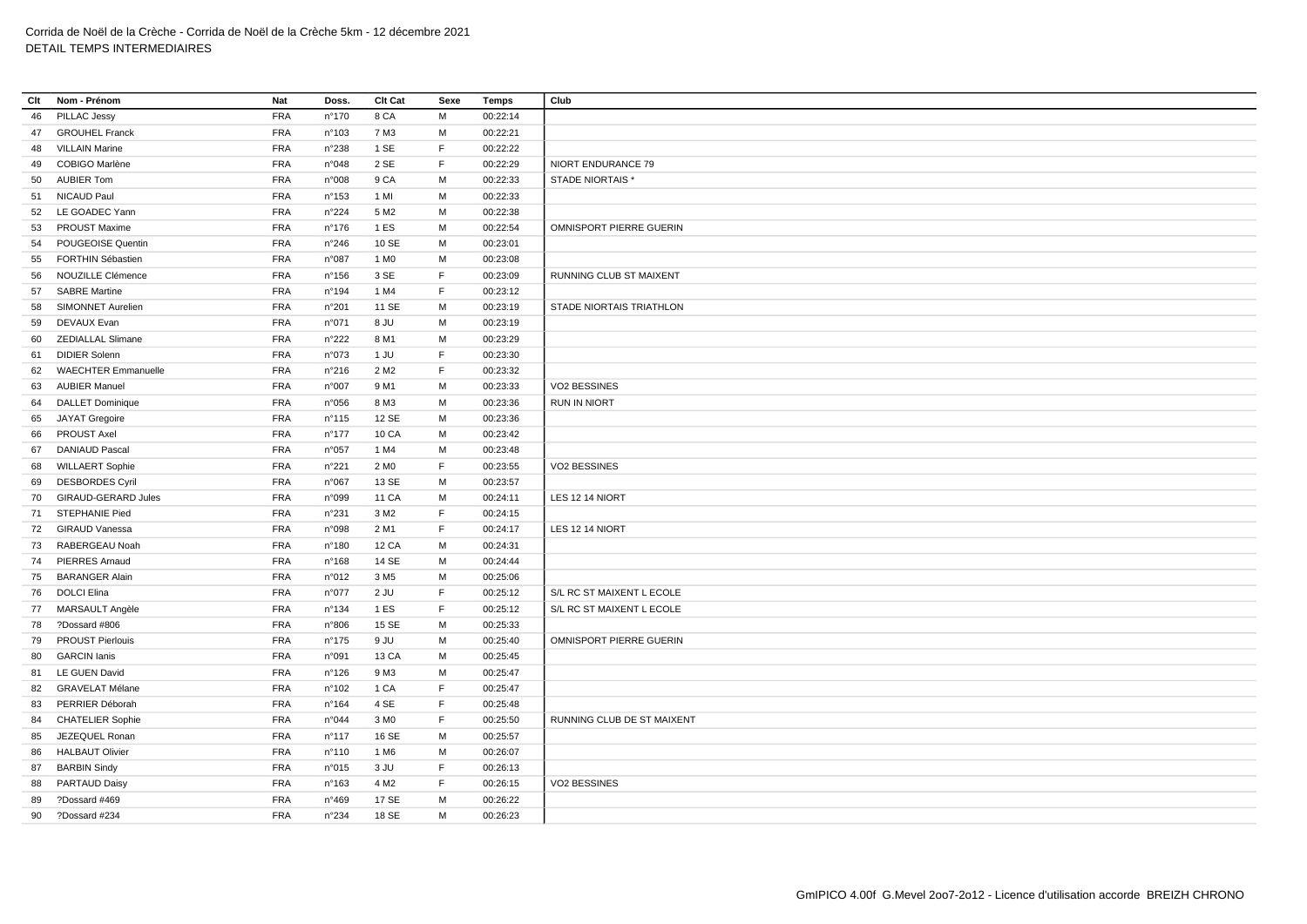| Clt | Nom - Prénom            | Nat        | Doss.           | Clt Cat          | Sexe | Temps    | Club                       |
|-----|-------------------------|------------|-----------------|------------------|------|----------|----------------------------|
| 46  | PILLAC Jessy            | <b>FRA</b> | n°170           | 8 CA             | M    | 00:22:14 |                            |
| 47  | <b>GROUHEL Franck</b>   | <b>FRA</b> | n°103           | 7 M3             | М    | 00:22:21 |                            |
| 48  | <b>VILLAIN Marine</b>   | <b>FRA</b> | n°238           | 1 SE             | F    | 00:22:22 |                            |
| 49  | COBIGO Marlène          | <b>FRA</b> | n°048           | 2 SE             | F    | 00:22:29 | NIORT ENDURANCE 79         |
| 50  | <b>AUBIER Tom</b>       | <b>FRA</b> | n°008           | 9 CA             | M    | 00:22:33 | <b>STADE NIORTAIS*</b>     |
| 51  | <b>NICAUD Paul</b>      | <b>FRA</b> | n°153           | 1 MI             | М    | 00:22:33 |                            |
| 52  | LE GOADEC Yann          | <b>FRA</b> | n°224           | 5 M <sub>2</sub> | M    | 00:22:38 |                            |
| 53  | <b>PROUST Maxime</b>    | <b>FRA</b> | $n^{\circ}$ 176 | 1 ES             | M    | 00:22:54 | OMNISPORT PIERRE GUERIN    |
| 54  | POUGEOISE Quentin       | <b>FRA</b> | n°246           | 10 SE            | M    | 00:23:01 |                            |
| 55  | FORTHIN Sébastien       | <b>FRA</b> | n°087           | 1 M <sub>0</sub> | М    | 00:23:08 |                            |
| 56  | NOUZILLE Clémence       | <b>FRA</b> | $n^{\circ}$ 156 | 3 SE             | F    | 00:23:09 | RUNNING CLUB ST MAIXENT    |
| 57  | <b>SABRE Martine</b>    | <b>FRA</b> | n°194           | 1 M4             | F    | 00:23:12 |                            |
| 58  | SIMONNET Aurelien       | <b>FRA</b> | n°201           | 11 SE            | М    | 00:23:19 | STADE NIORTAIS TRIATHLON   |
| 59  | DEVAUX Evan             | <b>FRA</b> | n°071           | 8 JU             | М    | 00:23:19 |                            |
|     | 60 ZEDIALLAL Slimane    | <b>FRA</b> | n°222           | 8 M1             | М    | 00:23:29 |                            |
| 61  | <b>DIDIER Solenn</b>    | <b>FRA</b> | n°073           | 1 JU             | F    | 00:23:30 |                            |
|     | 62 WAECHTER Emmanuelle  | <b>FRA</b> | n°216           | 2 M <sub>2</sub> | F    | 00:23:32 |                            |
| 63  | <b>AUBIER Manuel</b>    | <b>FRA</b> | n°007           | 9 M1             | M    | 00:23:33 | VO2 BESSINES               |
| 64  | <b>DALLET Dominique</b> | FRA        | n°056           | 8 M3             | М    | 00:23:36 | <b>RUN IN NIORT</b>        |
| 65  | JAYAT Gregoire          | <b>FRA</b> | n°115           | 12 SE            | M    | 00:23:36 |                            |
| 66  | PROUST Axel             | <b>FRA</b> | $n^{\circ}$ 177 | 10 CA            | М    | 00:23:42 |                            |
| 67  | <b>DANIAUD Pascal</b>   | <b>FRA</b> | n°057           | 1 M4             | М    | 00:23:48 |                            |
| 68  | <b>WILLAERT Sophie</b>  | FRA        | n°221           | 2 M <sub>0</sub> | F.   | 00:23:55 | VO2 BESSINES               |
| 69  | <b>DESBORDES Cyril</b>  | <b>FRA</b> | n°067           | 13 SE            | М    | 00:23:57 |                            |
| 70  | GIRAUD-GERARD Jules     | <b>FRA</b> | n°099           | 11 CA            | M    | 00:24:11 | LES 12 14 NIORT            |
| 71  | STEPHANIE Pied          | <b>FRA</b> | n°231           | 3 M2             | F.   | 00:24:15 |                            |
|     | 72 GIRAUD Vanessa       | <b>FRA</b> | n°098           | 2 M1             | F.   | 00:24:17 | LES 12 14 NIORT            |
| 73  | RABERGEAU Noah          | <b>FRA</b> | n°180           | 12 CA            | м    | 00:24:31 |                            |
| 74  | <b>PIERRES Arnaud</b>   | <b>FRA</b> | n°168           | 14 SE            | M    | 00:24:44 |                            |
| 75  | <b>BARANGER Alain</b>   | <b>FRA</b> | n°012           | 3 M <sub>5</sub> | М    | 00:25:06 |                            |
| 76  | <b>DOLCI Elina</b>      | <b>FRA</b> | n°077           | 2 JU             | F.   | 00:25:12 | S/L RC ST MAIXENT L ECOLE  |
|     | 77 MARSAULT Angèle      | FRA        | n°134           | 1 ES             | F    | 00:25:12 | S/L RC ST MAIXENT L ECOLE  |
| 78  | ?Dossard #806           | <b>FRA</b> | n°806           | 15 SE            | М    | 00:25:33 |                            |
| 79  | <b>PROUST Pierlouis</b> | <b>FRA</b> | n°175           | 9 JU             | М    | 00:25:40 | OMNISPORT PIERRE GUERIN    |
| 80  | <b>GARCIN</b> lanis     | <b>FRA</b> | n°091           | 13 CA            | м    | 00:25:45 |                            |
| 81  | LE GUEN David           | <b>FRA</b> | n°126           | 9 M3             | М    | 00:25:47 |                            |
| 82  | <b>GRAVELAT Mélane</b>  | <b>FRA</b> | n°102           | 1 CA             | F    | 00:25:47 |                            |
| 83  | PERRIER Déborah         | <b>FRA</b> | n°164           | 4 SE             | F    | 00:25:48 |                            |
| 84  | <b>CHATELIER Sophie</b> | <b>FRA</b> | n°044           | 3 MO             | F.   | 00:25:50 | RUNNING CLUB DE ST MAIXENT |
| 85  | JEZEQUEL Ronan          | <b>FRA</b> | $n^{\circ}$ 117 | 16 SE            | М    | 00:25:57 |                            |
| 86  | <b>HALBAUT Olivier</b>  | <b>FRA</b> | n°110           | 1 M <sub>6</sub> | M    | 00:26:07 |                            |
| 87  | <b>BARBIN Sindy</b>     | <b>FRA</b> | n°015           | 3 JU             | F    | 00:26:13 |                            |
| 88  | PARTAUD Daisy           | <b>FRA</b> | n°163           | 4 M <sub>2</sub> | F    | 00:26:15 | VO2 BESSINES               |
| 89  | ?Dossard #469           | <b>FRA</b> | n°469           | 17 SE            | М    | 00:26:22 |                            |
| 90  | ?Dossard #234           | <b>FRA</b> | n°234           | 18 SE            | М    | 00:26:23 |                            |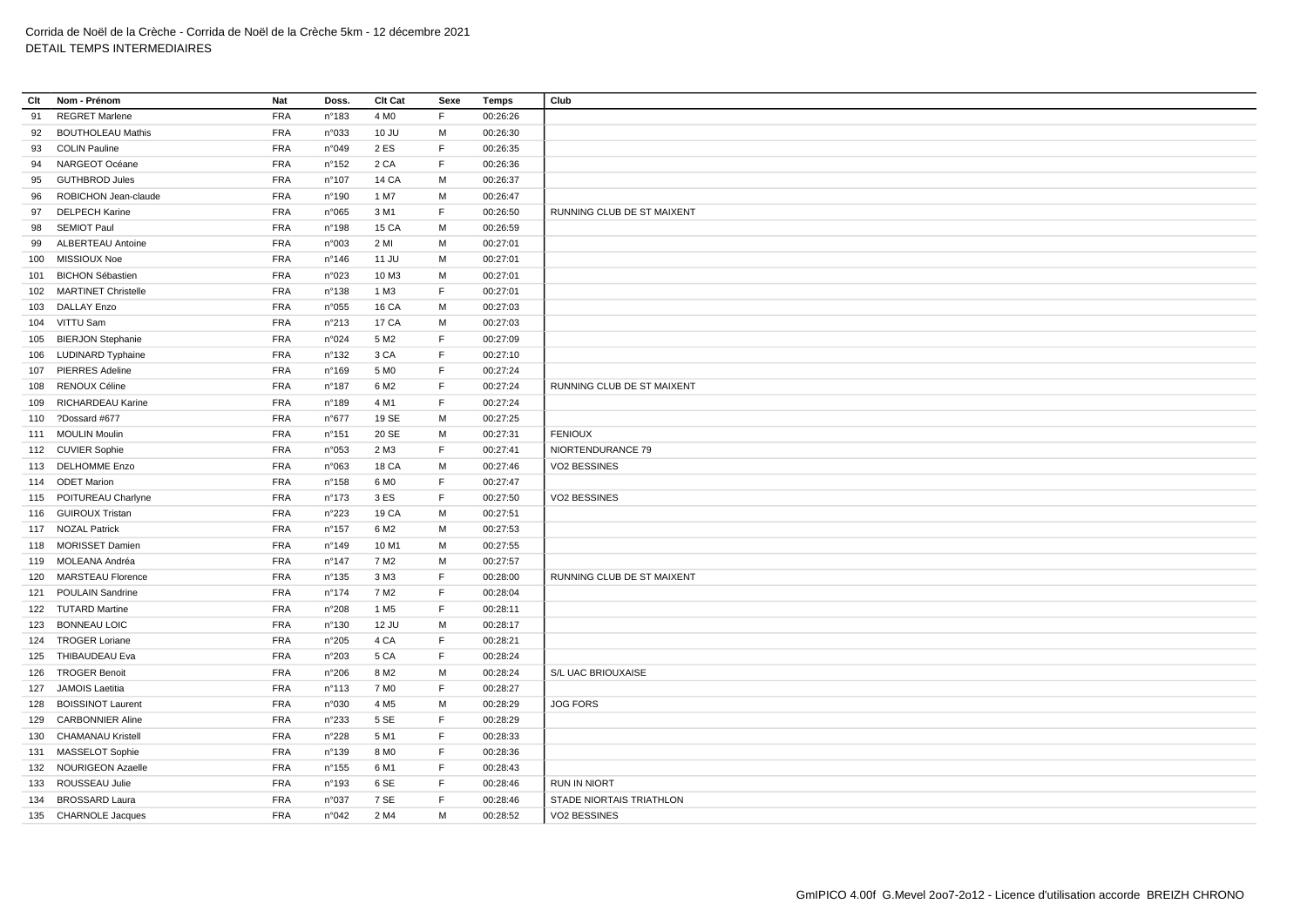| Clt | Nom - Prénom             | Nat        | Doss.           | Clt Cat          | Sexe | Temps    | Club                       |
|-----|--------------------------|------------|-----------------|------------------|------|----------|----------------------------|
| 91  | <b>REGRET Marlene</b>    | <b>FRA</b> | n°183           | 4 M <sub>0</sub> | F    | 00:26:26 |                            |
| 92  | <b>BOUTHOLEAU Mathis</b> | <b>FRA</b> | n°033           | 10 JU            | М    | 00:26:30 |                            |
| 93  | <b>COLIN Pauline</b>     | FRA        | n°049           | 2 ES             | F    | 00:26:35 |                            |
| 94  | NARGEOT Océane           | <b>FRA</b> | n°152           | 2 CA             | F    | 00:26:36 |                            |
| 95  | <b>GUTHBROD Jules</b>    | <b>FRA</b> | n°107           | 14 CA            | М    | 00:26:37 |                            |
| 96  | ROBICHON Jean-claude     | <b>FRA</b> | n°190           | 1 M7             | М    | 00:26:47 |                            |
| 97  | <b>DELPECH Karine</b>    | <b>FRA</b> | n°065           | 3 M1             | F    | 00:26:50 | RUNNING CLUB DE ST MAIXENT |
| 98  | <b>SEMIOT Paul</b>       | <b>FRA</b> | n°198           | 15 CA            | М    | 00:26:59 |                            |
| 99  | ALBERTEAU Antoine        | <b>FRA</b> | n°003           | 2 MI             | м    | 00:27:01 |                            |
| 100 | MISSIOUX Noe             | <b>FRA</b> | n°146           | 11 JU            | M    | 00:27:01 |                            |
| 101 | <b>BICHON Sébastien</b>  | <b>FRA</b> | n°023           | 10 M3            | M    | 00:27:01 |                            |
|     | 102 MARTINET Christelle  | <b>FRA</b> | n°138           | 1 M3             | F    | 00:27:01 |                            |
| 103 | <b>DALLAY Enzo</b>       | FRA        | n°055           | <b>16 CA</b>     | M    | 00:27:03 |                            |
|     | 104 VITTU Sam            | <b>FRA</b> | n°213           | 17 CA            | М    | 00:27:03 |                            |
|     | 105 BIERJON Stephanie    | <b>FRA</b> | n°024           | 5 M <sub>2</sub> | F    | 00:27:09 |                            |
|     | 106 LUDINARD Typhaine    | <b>FRA</b> | $n^{\circ}$ 132 | 3 CA             | F    | 00:27:10 |                            |
| 107 | <b>PIERRES Adeline</b>   | <b>FRA</b> | n°169           | 5 M <sub>0</sub> | F.   | 00:27:24 |                            |
|     | 108 RENOUX Céline        | FRA        | n°187           | 6 M <sub>2</sub> | F    | 00:27:24 | RUNNING CLUB DE ST MAIXENT |
| 109 | RICHARDEAU Karine        | <b>FRA</b> | n°189           | 4 M1             | F    | 00:27:24 |                            |
|     | 110 ?Dossard #677        | <b>FRA</b> | n°677           | 19 SE            | М    | 00:27:25 |                            |
|     | 111 MOULIN Moulin        | <b>FRA</b> | n°151           | 20 SE            | м    | 00:27:31 | <b>FENIOUX</b>             |
|     | 112 CUVIER Sophie        | <b>FRA</b> | n°053           | 2 M3             | F.   | 00:27:41 | NIORTENDURANCE 79          |
|     | 113 DELHOMME Enzo        | FRA        | n°063           | 18 CA            | M    | 00:27:46 | VO2 BESSINES               |
|     | 114 ODET Marion          | <b>FRA</b> | $n^{\circ}$ 158 | 6 M <sub>0</sub> | F    | 00:27:47 |                            |
|     | 115 POITUREAU Charlyne   | <b>FRA</b> | n°173           | 3 ES             | F    | 00:27:50 | VO2 BESSINES               |
|     | 116 GUIROUX Tristan      | <b>FRA</b> | n°223           | 19 CA            | м    | 00:27:51 |                            |
|     | 117 NOZAL Patrick        | <b>FRA</b> | $n^{\circ}$ 157 | 6 M2             | М    | 00:27:53 |                            |
|     | 118 MORISSET Damien      | <b>FRA</b> | n°149           | 10 M1            | M    | 00:27:55 |                            |
|     | 119 MOLEANA Andréa       | <b>FRA</b> | n°147           | 7 M2             | М    | 00:27:57 |                            |
| 120 | <b>MARSTEAU Florence</b> | <b>FRA</b> | n°135           | 3 M3             | F.   | 00:28:00 | RUNNING CLUB DE ST MAIXENT |
| 121 | <b>POULAIN Sandrine</b>  | <b>FRA</b> | n°174           | 7 M2             | F    | 00:28:04 |                            |
|     | 122 TUTARD Martine       | <b>FRA</b> | n°208           | 1 M <sub>5</sub> | F    | 00:28:11 |                            |
|     | 123 BONNEAU LOIC         | <b>FRA</b> | n°130           | 12 JU            | М    | 00:28:17 |                            |
|     | 124 TROGER Loriane       | <b>FRA</b> | n°205           | 4 CA             | F.   | 00:28:21 |                            |
|     | 125 THIBAUDEAU Eva       | FRA        | n°203           | 5 CA             | F    | 00:28:24 |                            |
|     | 126 TROGER Benoit        | <b>FRA</b> | n°206           | 8 M <sub>2</sub> | М    | 00:28:24 | S/L UAC BRIOUXAISE         |
|     | 127 JAMOIS Laetitia      | <b>FRA</b> | n°113           | 7 M <sub>0</sub> | F    | 00:28:27 |                            |
| 128 | <b>BOISSINOT Laurent</b> | <b>FRA</b> | n°030           | 4 M <sub>5</sub> | М    | 00:28:29 | <b>JOG FORS</b>            |
| 129 | <b>CARBONNIER Aline</b>  | <b>FRA</b> | n°233           | 5 SE             | F    | 00:28:29 |                            |
| 130 | <b>CHAMANAU Kristell</b> | <b>FRA</b> | n°228           | 5 M1             | F    | 00:28:33 |                            |
|     | 131 MASSELOT Sophie      | <b>FRA</b> | $n^{\circ}$ 139 | 8 M <sub>0</sub> | F    | 00:28:36 |                            |
|     | 132 NOURIGEON Azaelle    | <b>FRA</b> | $n^{\circ}$ 155 | 6 M1             | F.   | 00:28:43 |                            |
| 133 | ROUSSEAU Julie           | <b>FRA</b> | n°193           | 6 SE             | F    | 00:28:46 | <b>RUN IN NIORT</b>        |
| 134 | <b>BROSSARD Laura</b>    | <b>FRA</b> | n°037           | 7 SE             | F    | 00:28:46 | STADE NIORTAIS TRIATHLON   |
|     | 135 CHARNOLE Jacques     | <b>FRA</b> | n°042           | 2 M4             | M    | 00:28:52 | VO2 BESSINES               |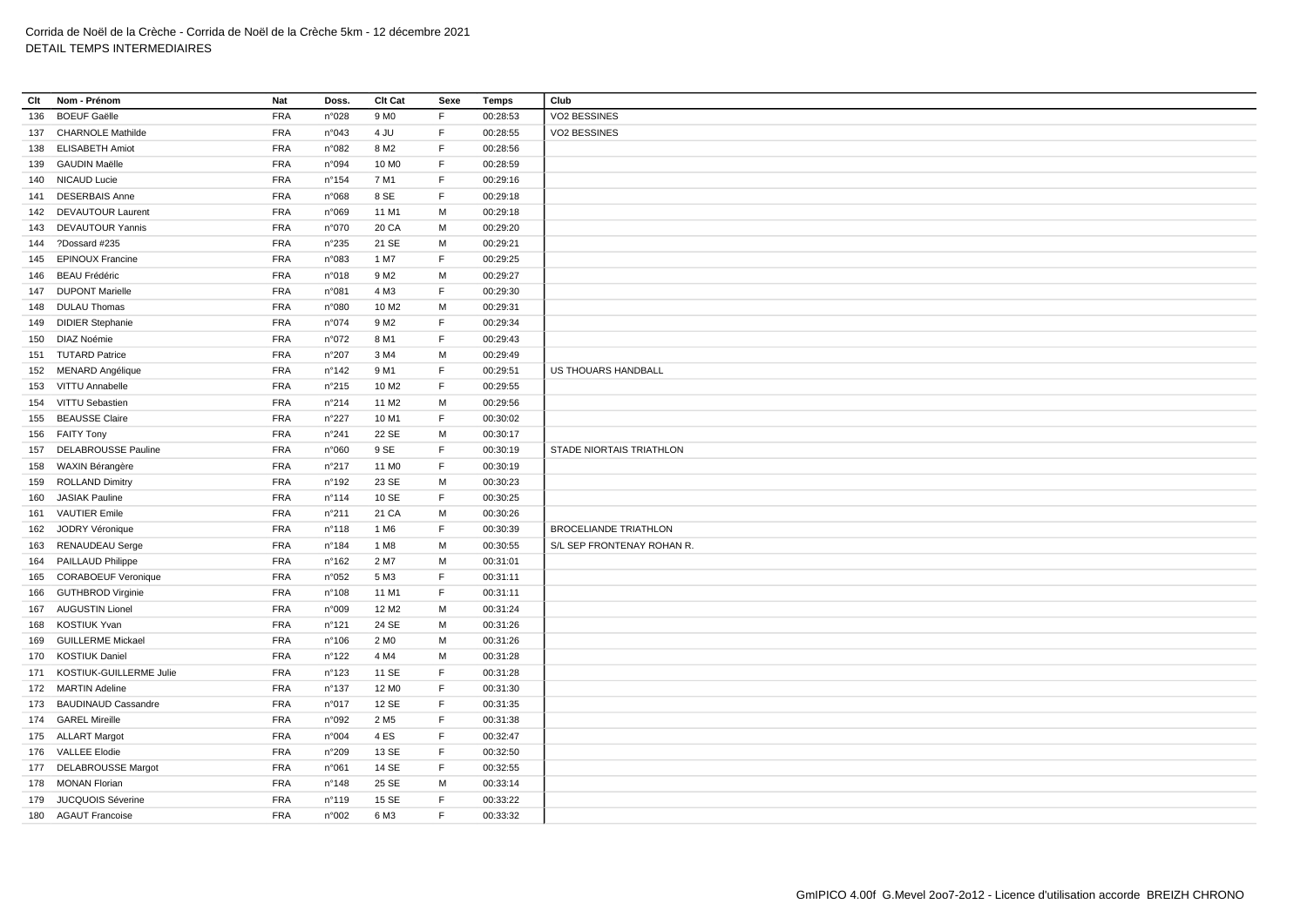| Clt | Nom - Prénom                | Nat        | Doss.           | Clt Cat           | Sexe        | Temps    | Club                         |
|-----|-----------------------------|------------|-----------------|-------------------|-------------|----------|------------------------------|
| 136 | <b>BOEUF Gaëlle</b>         | <b>FRA</b> | n°028           | 9 M <sub>0</sub>  | F           | 00:28:53 | VO2 BESSINES                 |
|     | 137 CHARNOLE Mathilde       | <b>FRA</b> | n°043           | 4 JU              | F           | 00:28:55 | VO2 BESSINES                 |
|     | 138 ELISABETH Amiot         | <b>FRA</b> | n°082           | 8 M <sub>2</sub>  | F.          | 00:28:56 |                              |
|     | 139 GAUDIN Maëlle           | <b>FRA</b> | n°094           | 10 M <sub>0</sub> | F           | 00:28:59 |                              |
|     | 140 NICAUD Lucie            | <b>FRA</b> | $n^{\circ}$ 154 | 7 M1              | F.          | 00:29:16 |                              |
|     | 141 DESERBAIS Anne          | <b>FRA</b> | n°068           | 8 SE              | F           | 00:29:18 |                              |
|     | 142 DEVAUTOUR Laurent       | <b>FRA</b> | n°069           | 11 M1             | м           | 00:29:18 |                              |
|     | 143 DEVAUTOUR Yannis        | <b>FRA</b> | n°070           | 20 CA             | M           | 00:29:20 |                              |
|     | 144 ?Dossard #235           | <b>FRA</b> | n°235           | 21 SE             | M           | 00:29:21 |                              |
|     | 145 EPINOUX Francine        | <b>FRA</b> | n°083           | 1 M7              | $\mathsf F$ | 00:29:25 |                              |
|     | 146 BEAU Frédéric           | <b>FRA</b> | n°018           | 9 M <sub>2</sub>  | M           | 00:29:27 |                              |
|     | 147 DUPONT Marielle         | <b>FRA</b> | n°081           | 4 M3              | F.          | 00:29:30 |                              |
|     | 148 DULAU Thomas            | <b>FRA</b> | n°080           | 10 M <sub>2</sub> | M           | 00:29:31 |                              |
|     | 149 DIDIER Stephanie        | <b>FRA</b> | n°074           | 9 M <sub>2</sub>  | $\mathsf F$ | 00:29:34 |                              |
|     | 150 DIAZ Noémie             | <b>FRA</b> | n°072           | 8 M1              | F           | 00:29:43 |                              |
|     | 151 TUTARD Patrice          | <b>FRA</b> | n°207           | 3 M4              | M           | 00:29:49 |                              |
|     | 152 MENARD Angélique        | <b>FRA</b> | $n^{\circ}$ 142 | 9 M1              | F           | 00:29:51 | US THOUARS HANDBALL          |
|     | 153 VITTU Annabelle         | <b>FRA</b> | n°215           | 10 M <sub>2</sub> | F.          | 00:29:55 |                              |
|     | 154 VITTU Sebastien         | <b>FRA</b> | n°214           | 11 M <sub>2</sub> | M           | 00:29:56 |                              |
|     | 155 BEAUSSE Claire          | <b>FRA</b> | $n^{\circ}227$  | 10 M1             | F           | 00:30:02 |                              |
|     | 156 FAITY Tony              | <b>FRA</b> | n°241           | 22 SE             | M           | 00:30:17 |                              |
|     | 157 DELABROUSSE Pauline     | <b>FRA</b> | n°060           | 9 SE              | F           | 00:30:19 | STADE NIORTAIS TRIATHLON     |
|     | 158 WAXIN Bérangère         | <b>FRA</b> | n°217           | 11 M <sub>0</sub> | $\mathsf F$ | 00:30:19 |                              |
|     | 159 ROLLAND Dimitry         | <b>FRA</b> | n°192           | 23 SE             | M           | 00:30:23 |                              |
| 160 | <b>JASIAK Pauline</b>       | <b>FRA</b> | n°114           | 10 SE             | F           | 00:30:25 |                              |
|     | 161 VAUTIER Emile           | <b>FRA</b> | n°211           | 21 CA             | M           | 00:30:26 |                              |
| 162 | JODRY Véronique             | <b>FRA</b> | n°118           | 1 M <sub>6</sub>  | $\mathsf F$ | 00:30:39 | <b>BROCELIANDE TRIATHLON</b> |
|     | 163 RENAUDEAU Serge         | <b>FRA</b> | n°184           | 1 M <sub>8</sub>  | M           | 00:30:55 | S/L SEP FRONTENAY ROHAN R.   |
|     | 164 PAILLAUD Philippe       | <b>FRA</b> | n°162           | 2 M7              | M           | 00:31:01 |                              |
|     | 165 CORABOEUF Veronique     | <b>FRA</b> | n°052           | 5 M3              | F           | 00:31:11 |                              |
|     | 166 GUTHBROD Virginie       | <b>FRA</b> | n°108           | 11 M1             | F           | 00:31:11 |                              |
|     | 167 AUGUSTIN Lionel         | <b>FRA</b> | n°009           | 12 M <sub>2</sub> | M           | 00:31:24 |                              |
|     | 168 KOSTIUK Yvan            | <b>FRA</b> | n°121           | 24 SE             | M           | 00:31:26 |                              |
|     | 169 GUILLERME Mickael       | <b>FRA</b> | n°106           | 2 M <sub>0</sub>  | M           | 00:31:26 |                              |
|     | 170 KOSTIUK Daniel          | <b>FRA</b> | n°122           | 4 M4              | М           | 00:31:28 |                              |
|     | 171 KOSTIUK-GUILLERME Julie | <b>FRA</b> | n°123           | 11 SE             | F           | 00:31:28 |                              |
|     | 172 MARTIN Adeline          | <b>FRA</b> | n°137           | 12 M <sub>0</sub> | E           | 00:31:30 |                              |
|     | 173 BAUDINAUD Cassandre     | <b>FRA</b> | n°017           | 12 SE             | F           | 00:31:35 |                              |
|     | 174 GAREL Mireille          | <b>FRA</b> | n°092           | 2 M <sub>5</sub>  | F           | 00:31:38 |                              |
|     | 175 ALLART Margot           | <b>FRA</b> | n°004           | 4 ES              | $\mathsf F$ | 00:32:47 |                              |
|     | 176 VALLEE Elodie           | <b>FRA</b> | n°209           | 13 SE             | F           | 00:32:50 |                              |
|     | 177 DELABROUSSE Margot      | <b>FRA</b> | n°061           | 14 SE             | F           | 00:32:55 |                              |
|     | 178 MONAN Florian           | <b>FRA</b> | n°148           | 25 SE             | M           | 00:33:14 |                              |
|     | 179 JUCQUOIS Séverine       | <b>FRA</b> | n°119           | 15 SE             | F           | 00:33:22 |                              |
|     | 180 AGAUT Francoise         | <b>FRA</b> | n°002           | 6 M3              | F           | 00:33:32 |                              |
|     |                             |            |                 |                   |             |          |                              |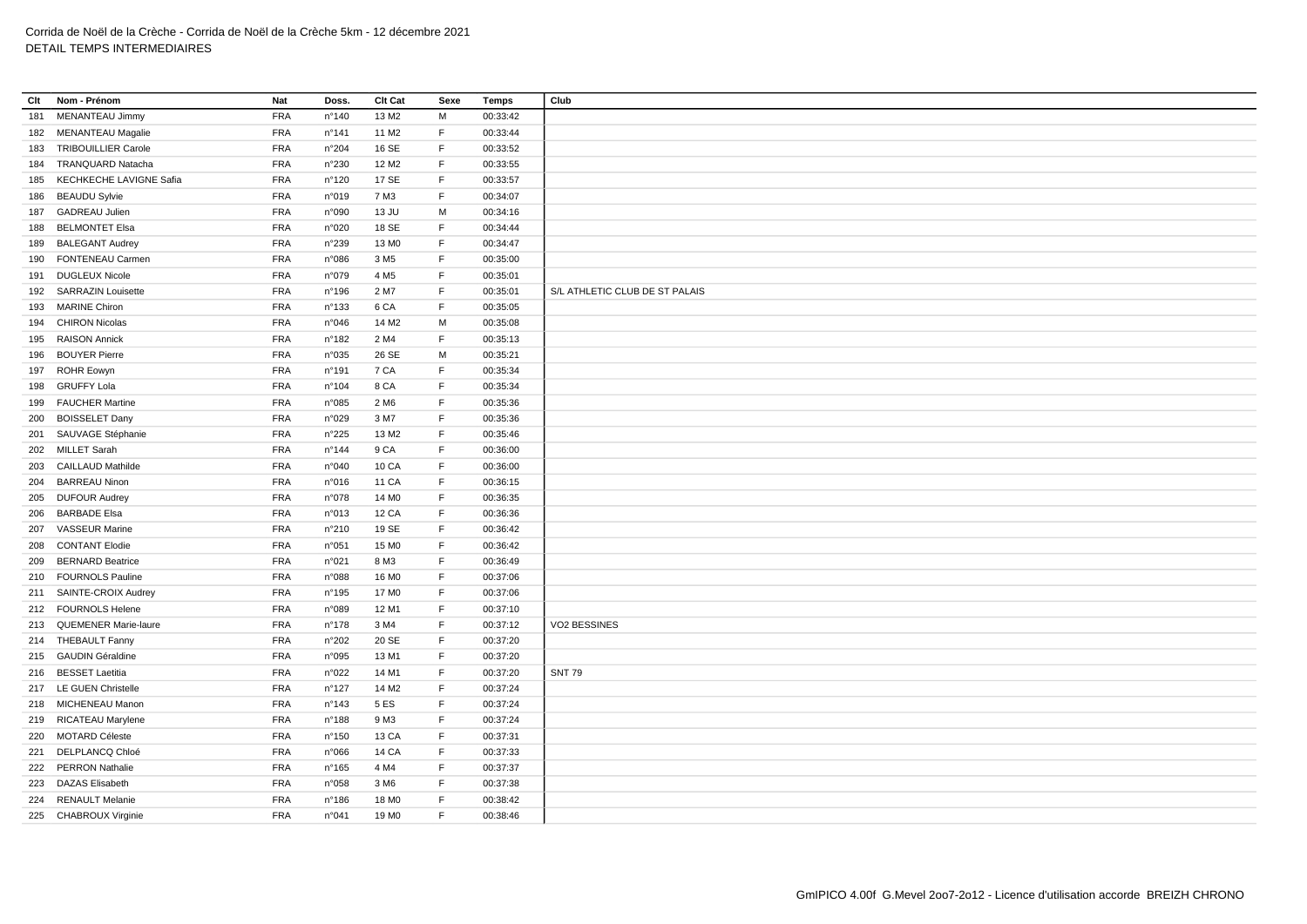| Clt | Nom - Prénom               | Nat        | Doss.          | Clt Cat           | Sexe         | Temps    | Club                           |
|-----|----------------------------|------------|----------------|-------------------|--------------|----------|--------------------------------|
| 181 | MENANTEAU Jimmy            | <b>FRA</b> | n°140          | 13 M <sub>2</sub> | M            | 00:33:42 |                                |
|     | 182 MENANTEAU Magalie      | <b>FRA</b> | n°141          | 11 M <sub>2</sub> | E            | 00:33:44 |                                |
| 183 | <b>TRIBOUILLIER Carole</b> | <b>FRA</b> | n°204          | 16 SE             | $\mathsf F$  | 00:33:52 |                                |
| 184 | TRANQUARD Natacha          | <b>FRA</b> | n°230          | 12 M <sub>2</sub> | $\mathsf F$  | 00:33:55 |                                |
| 185 | KECHKECHE LAVIGNE Safia    | <b>FRA</b> | n°120          | 17 SE             | $\mathsf F$  | 00:33:57 |                                |
| 186 | <b>BEAUDU Sylvie</b>       | <b>FRA</b> | n°019          | 7 M3              | $\mathsf F$  | 00:34:07 |                                |
|     | 187 GADREAU Julien         | <b>FRA</b> | n°090          | 13 JU             | M            | 00:34:16 |                                |
| 188 | <b>BELMONTET Elsa</b>      | <b>FRA</b> | n°020          | 18 SE             | $\mathsf F$  | 00:34:44 |                                |
| 189 | <b>BALEGANT Audrey</b>     | <b>FRA</b> | n°239          | 13 MO             | F            | 00:34:47 |                                |
| 190 | FONTENEAU Carmen           | <b>FRA</b> | n°086          | 3 M <sub>5</sub>  | E            | 00:35:00 |                                |
|     | 191 DUGLEUX Nicole         | <b>FRA</b> | n°079          | 4 M <sub>5</sub>  | $\mathsf F$  | 00:35:01 |                                |
| 192 | <b>SARRAZIN Louisette</b>  | <b>FRA</b> | n°196          | 2 M7              | E            | 00:35:01 | S/L ATHLETIC CLUB DE ST PALAIS |
| 193 | <b>MARINE Chiron</b>       | <b>FRA</b> | n°133          | 6 CA              | F            | 00:35:05 |                                |
| 194 | <b>CHIRON Nicolas</b>      | <b>FRA</b> | n°046          | 14 M <sub>2</sub> | M            | 00:35:08 |                                |
| 195 | <b>RAISON Annick</b>       | FRA        | n°182          | 2 M4              | E            | 00:35:13 |                                |
| 196 | <b>BOUYER Pierre</b>       | <b>FRA</b> | n°035          | 26 SE             | M            | 00:35:21 |                                |
|     | 197 ROHR Eowyn             | <b>FRA</b> | n°191          | 7 CA              | $\mathsf F$  | 00:35:34 |                                |
|     | 198 GRUFFY Lola            | <b>FRA</b> | n°104          | 8 CA              | $\mathsf F$  | 00:35:34 |                                |
| 199 | <b>FAUCHER Martine</b>     | <b>FRA</b> | n°085          | 2 M <sub>6</sub>  | E            | 00:35:36 |                                |
| 200 | <b>BOISSELET Dany</b>      | <b>FRA</b> | n°029          | 3 M7              | $\mathsf F$  | 00:35:36 |                                |
|     | 201 SAUVAGE Stéphanie      | <b>FRA</b> | n°225          | 13 M <sub>2</sub> | F            | 00:35:46 |                                |
|     | 202 MILLET Sarah           | <b>FRA</b> | n°144          | 9 CA              | $\mathsf F$  | 00:36:00 |                                |
| 203 | <b>CAILLAUD Mathilde</b>   | <b>FRA</b> | n°040          | 10 CA             | $\mathsf F$  | 00:36:00 |                                |
| 204 | <b>BARREAU Ninon</b>       | <b>FRA</b> | n°016          | 11 CA             | $\mathsf F$  | 00:36:15 |                                |
| 205 | <b>DUFOUR Audrey</b>       | <b>FRA</b> | n°078          | 14 M <sub>0</sub> | F            | 00:36:35 |                                |
| 206 | <b>BARBADE Elsa</b>        | <b>FRA</b> | n°013          | <b>12 CA</b>      | $\mathsf F$  | 00:36:36 |                                |
| 207 | <b>VASSEUR Marine</b>      | <b>FRA</b> | n°210          | 19 SE             | $\mathsf F$  | 00:36:42 |                                |
|     | <b>CONTANT Elodie</b>      |            |                |                   | E            |          |                                |
| 208 |                            | <b>FRA</b> | n°051          | 15 M <sub>0</sub> | $\mathsf F$  | 00:36:42 |                                |
| 209 | <b>BERNARD Beatrice</b>    | <b>FRA</b> | n°021          | 8 M3              | F            | 00:36:49 |                                |
| 210 | <b>FOURNOLS Pauline</b>    | <b>FRA</b> | n°088          | 16 M <sub>0</sub> |              | 00:37:06 |                                |
|     | 211 SAINTE-CROIX Audrey    | <b>FRA</b> | n°195          | 17 MO             | $\mathsf F$  | 00:37:06 |                                |
|     | 212 FOURNOLS Helene        | <b>FRA</b> | n°089          | 12 M1             | F            | 00:37:10 |                                |
|     | 213 QUEMENER Marie-laure   | <b>FRA</b> | n°178          | 3 M4              | $\mathsf F$  | 00:37:12 | VO2 BESSINES                   |
|     | 214 THEBAULT Fanny         | <b>FRA</b> | n°202          | 20 SE             | F            | 00:37:20 |                                |
|     | 215 GAUDIN Géraldine       | <b>FRA</b> | n°095          | 13 M1             | $\mathsf F$  | 00:37:20 |                                |
|     | 216 BESSET Laetitia        | <b>FRA</b> | n°022          | 14 M1             | $\mathsf F$  | 00:37:20 | <b>SNT 79</b>                  |
|     | 217 LE GUEN Christelle     | <b>FRA</b> | n°127          | 14 M <sub>2</sub> | E            | 00:37:24 |                                |
| 218 | MICHENEAU Manon            | <b>FRA</b> | n°143          | 5 ES              | F            | 00:37:24 |                                |
|     | 219 RICATEAU Marylene      | <b>FRA</b> | n°188          | 9 M3              | E            | 00:37:24 |                                |
| 220 | <b>MOTARD Céleste</b>      | <b>FRA</b> | n°150          | 13 CA             | $\mathsf F$  | 00:37:31 |                                |
|     | 221 DELPLANCQ Chloé        | <b>FRA</b> | n°066          | 14 CA             | F            | 00:37:33 |                                |
| 222 | <b>PERRON Nathalie</b>     | <b>FRA</b> | $n^{\circ}165$ | 4 M4              | $\mathsf F$  | 00:37:37 |                                |
| 223 | <b>DAZAS Elisabeth</b>     | <b>FRA</b> | n°058          | 3 M <sub>6</sub>  | F            | 00:37:38 |                                |
| 224 | <b>RENAULT Melanie</b>     | <b>FRA</b> | n°186          | 18 MO             | $\mathsf{F}$ | 00:38:42 |                                |
|     | 225 CHABROUX Virginie      | <b>FRA</b> | n°041          | 19 MO             | F            | 00:38:46 |                                |